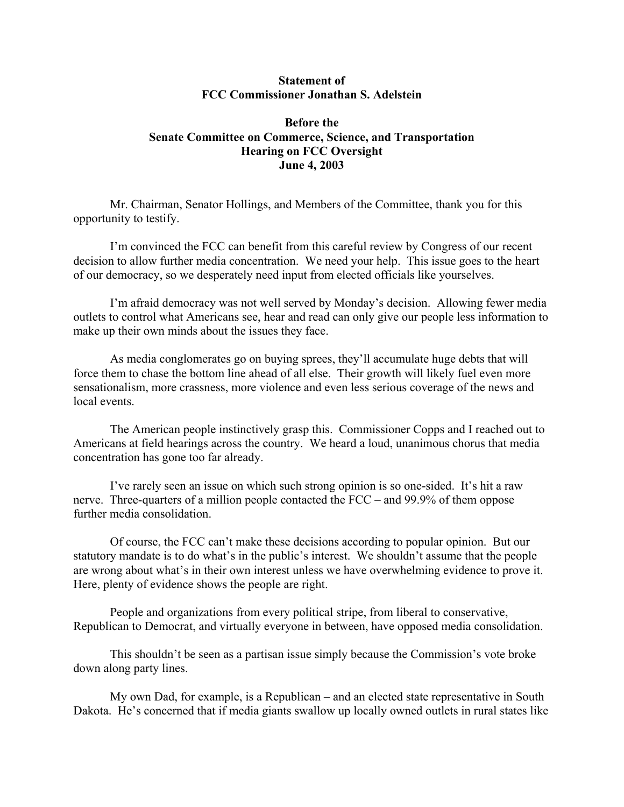## **Statement of FCC Commissioner Jonathan S. Adelstein**

## **Before the Senate Committee on Commerce, Science, and Transportation Hearing on FCC Oversight June 4, 2003**

Mr. Chairman, Senator Hollings, and Members of the Committee, thank you for this opportunity to testify.

 I'm convinced the FCC can benefit from this careful review by Congress of our recent decision to allow further media concentration. We need your help. This issue goes to the heart of our democracy, so we desperately need input from elected officials like yourselves.

 I'm afraid democracy was not well served by Monday's decision. Allowing fewer media outlets to control what Americans see, hear and read can only give our people less information to make up their own minds about the issues they face.

As media conglomerates go on buying sprees, they'll accumulate huge debts that will force them to chase the bottom line ahead of all else. Their growth will likely fuel even more sensationalism, more crassness, more violence and even less serious coverage of the news and local events.

The American people instinctively grasp this. Commissioner Copps and I reached out to Americans at field hearings across the country. We heard a loud, unanimous chorus that media concentration has gone too far already.

I've rarely seen an issue on which such strong opinion is so one-sided. It's hit a raw nerve. Three-quarters of a million people contacted the FCC – and 99.9% of them oppose further media consolidation.

Of course, the FCC can't make these decisions according to popular opinion. But our statutory mandate is to do what's in the public's interest. We shouldn't assume that the people are wrong about what's in their own interest unless we have overwhelming evidence to prove it. Here, plenty of evidence shows the people are right.

 People and organizations from every political stripe, from liberal to conservative, Republican to Democrat, and virtually everyone in between, have opposed media consolidation.

 This shouldn't be seen as a partisan issue simply because the Commission's vote broke down along party lines.

My own Dad, for example, is a Republican – and an elected state representative in South Dakota. He's concerned that if media giants swallow up locally owned outlets in rural states like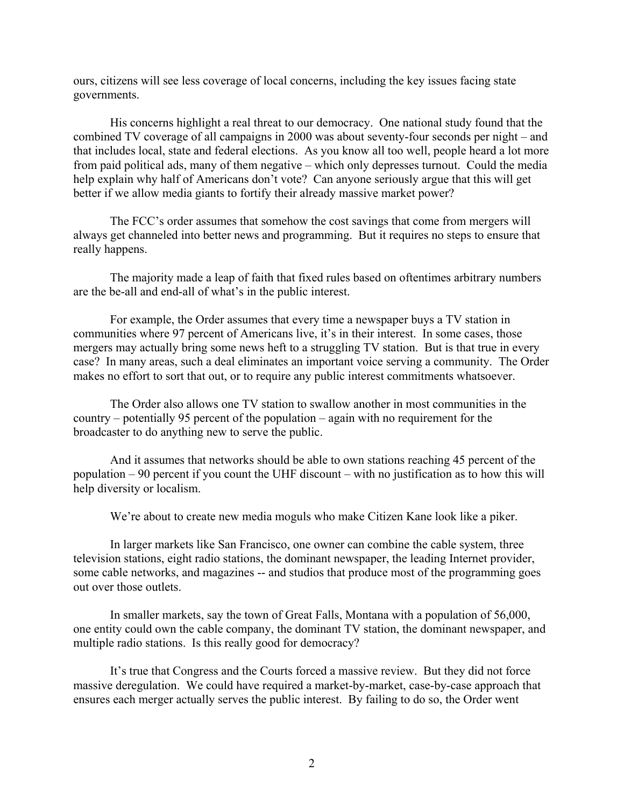ours, citizens will see less coverage of local concerns, including the key issues facing state governments.

 His concerns highlight a real threat to our democracy. One national study found that the combined TV coverage of all campaigns in 2000 was about seventy-four seconds per night – and that includes local, state and federal elections. As you know all too well, people heard a lot more from paid political ads, many of them negative – which only depresses turnout. Could the media help explain why half of Americans don't vote? Can anyone seriously argue that this will get better if we allow media giants to fortify their already massive market power?

The FCC's order assumes that somehow the cost savings that come from mergers will always get channeled into better news and programming. But it requires no steps to ensure that really happens.

The majority made a leap of faith that fixed rules based on oftentimes arbitrary numbers are the be-all and end-all of what's in the public interest.

 For example, the Order assumes that every time a newspaper buys a TV station in communities where 97 percent of Americans live, it's in their interest. In some cases, those mergers may actually bring some news heft to a struggling TV station. But is that true in every case? In many areas, such a deal eliminates an important voice serving a community. The Order makes no effort to sort that out, or to require any public interest commitments whatsoever.

The Order also allows one TV station to swallow another in most communities in the country – potentially 95 percent of the population – again with no requirement for the broadcaster to do anything new to serve the public.

 And it assumes that networks should be able to own stations reaching 45 percent of the population – 90 percent if you count the UHF discount – with no justification as to how this will help diversity or localism.

We're about to create new media moguls who make Citizen Kane look like a piker.

 In larger markets like San Francisco, one owner can combine the cable system, three television stations, eight radio stations, the dominant newspaper, the leading Internet provider, some cable networks, and magazines -- and studios that produce most of the programming goes out over those outlets.

 In smaller markets, say the town of Great Falls, Montana with a population of 56,000, one entity could own the cable company, the dominant TV station, the dominant newspaper, and multiple radio stations. Is this really good for democracy?

 It's true that Congress and the Courts forced a massive review. But they did not force massive deregulation. We could have required a market-by-market, case-by-case approach that ensures each merger actually serves the public interest. By failing to do so, the Order went